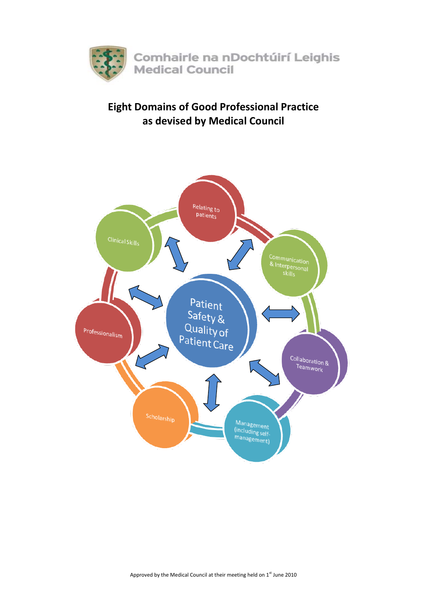

# **Eight Domains of Good Professional Practice as devised by Medical Council**